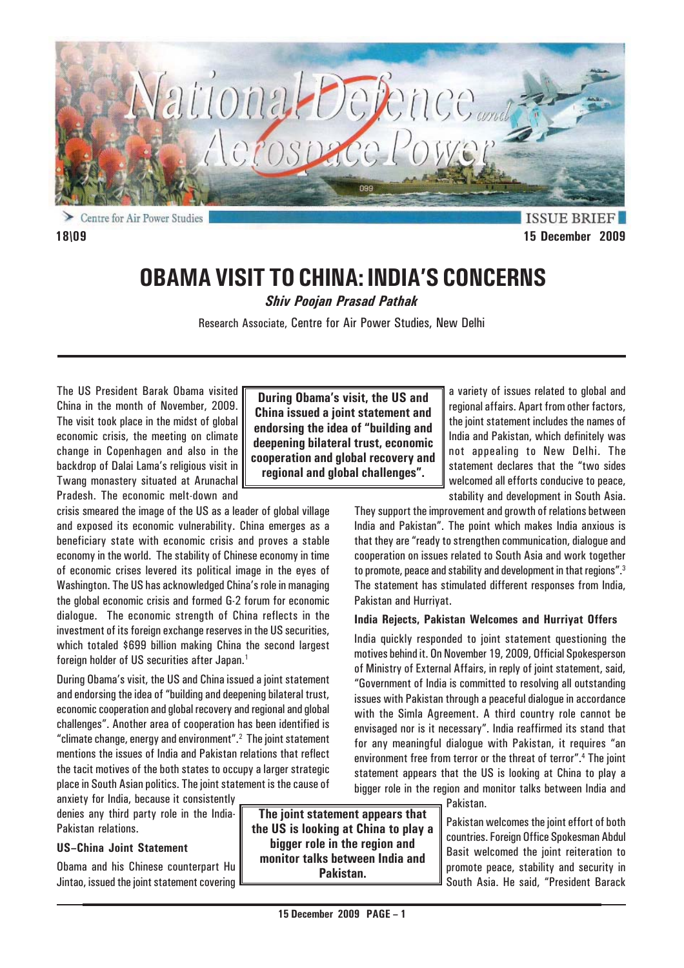

**ISSUE BRI 18\09 15 December 2009**

# **OBAMA VISIT TO CHINA: INDIA'S CONCERNS**

*Shiv Poojan Prasad Pathak*

Research Associate, Centre for Air Power Studies, New Delhi

The US President Barak Obama visited China in the month of November, 2009. The visit took place in the midst of global economic crisis, the meeting on climate change in Copenhagen and also in the backdrop of Dalai Lama's religious visit in Twang monastery situated at Arunachal Pradesh. The economic melt-down and

crisis smeared the image of the US as a leader of global village and exposed its economic vulnerability. China emerges as a beneficiary state with economic crisis and proves a stable economy in the world. The stability of Chinese economy in time of economic crises levered its political image in the eyes of Washington. The US has acknowledged China's role in managing the global economic crisis and formed G-2 forum for economic dialogue. The economic strength of China reflects in the investment of its foreign exchange reserves in the US securities, which totaled \$699 billion making China the second largest foreign holder of US securities after Japan.<sup>1</sup>

During Obama's visit, the US and China issued a joint statement and endorsing the idea of "building and deepening bilateral trust, economic cooperation and global recovery and regional and global challenges". Another area of cooperation has been identified is "climate change, energy and environment".2 The joint statement mentions the issues of India and Pakistan relations that reflect the tacit motives of the both states to occupy a larger strategic place in South Asian politics. The joint statement is the cause of

anxiety for India, because it consistently denies any third party role in the India-Pakistan relations.

# **US–China Joint Statement**

Obama and his Chinese counterpart Hu Jintao, issued the joint statement covering

**During Obama's visit, the US and China issued a joint statement and endorsing the idea of "building and deepening bilateral trust, economic cooperation and global recovery and regional and global challenges".**

a variety of issues related to global and regional affairs. Apart from other factors, the joint statement includes the names of India and Pakistan, which definitely was not appealing to New Delhi. The statement declares that the "two sides welcomed all efforts conducive to peace, stability and development in South Asia.

They support the improvement and growth of relations between India and Pakistan". The point which makes India anxious is that they are "ready to strengthen communication, dialogue and cooperation on issues related to South Asia and work together to promote, peace and stability and development in that regions".3 The statement has stimulated different responses from India, Pakistan and Hurriyat.

# **India Rejects, Pakistan Welcomes and Hurriyat Offers**

India quickly responded to joint statement questioning the motives behind it. On November 19, 2009, Official Spokesperson of Ministry of External Affairs, in reply of joint statement, said, "Government of India is committed to resolving all outstanding issues with Pakistan through a peaceful dialogue in accordance with the Simla Agreement. A third country role cannot be envisaged nor is it necessary". India reaffirmed its stand that for any meaningful dialogue with Pakistan, it requires "an environment free from terror or the threat of terror".4 The joint statement appears that the US is looking at China to play a bigger role in the region and monitor talks between India and

Pakistan.

Pakistan welcomes the joint effort of both countries. Foreign Office Spokesman Abdul Basit welcomed the joint reiteration to promote peace, stability and security in South Asia. He said, "President Barack

**The joint statement appears that the US is looking at China to play a bigger role in the region and monitor talks between India and Pakistan.**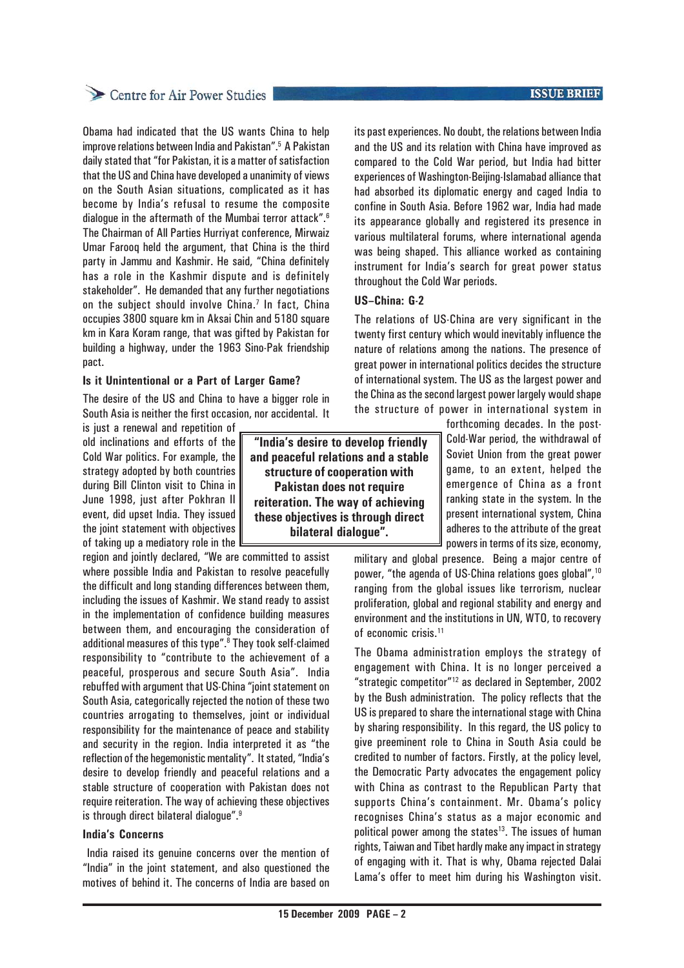# Centre for Air Power Studies

Obama had indicated that the US wants China to help improve relations between India and Pakistan".5 A Pakistan daily stated that "for Pakistan, it is a matter of satisfaction that the US and China have developed a unanimity of views on the South Asian situations, complicated as it has become by India's refusal to resume the composite dialogue in the aftermath of the Mumbai terror attack".<sup>6</sup> The Chairman of All Parties Hurriyat conference, Mirwaiz Umar Farooq held the argument, that China is the third party in Jammu and Kashmir. He said, "China definitely has a role in the Kashmir dispute and is definitely stakeholder". He demanded that any further negotiations on the subject should involve China.<sup>7</sup> In fact, China occupies 3800 square km in Aksai Chin and 5180 square km in Kara Koram range, that was gifted by Pakistan for building a highway, under the 1963 Sino-Pak friendship pact.

### **Is it Unintentional or a Part of Larger Game?**

The desire of the US and China to have a bigger role in South Asia is neither the first occasion, nor accidental. It

is just a renewal and repetition of old inclinations and efforts of the Cold War politics. For example, the strategy adopted by both countries during Bill Clinton visit to China in June 1998, just after Pokhran II event, did upset India. They issued the joint statement with objectives of taking up a mediatory role in the

region and jointly declared, "We are committed to assist where possible India and Pakistan to resolve peacefully the difficult and long standing differences between them, including the issues of Kashmir. We stand ready to assist in the implementation of confidence building measures between them, and encouraging the consideration of additional measures of this type".<sup>8</sup> They took self-claimed responsibility to "contribute to the achievement of a peaceful, prosperous and secure South Asia". India rebuffed with argument that US-China "joint statement on South Asia, categorically rejected the notion of these two countries arrogating to themselves, joint or individual responsibility for the maintenance of peace and stability and security in the region. India interpreted it as "the reflection of the hegemonistic mentality". It stated, "India's desire to develop friendly and peaceful relations and a stable structure of cooperation with Pakistan does not require reiteration. The way of achieving these objectives is through direct bilateral dialogue".<sup>9</sup>

#### **India's Concerns**

 India raised its genuine concerns over the mention of "India" in the joint statement, and also questioned the motives of behind it. The concerns of India are based on

 **"India's desire to develop friendly and peaceful relations and a stable structure of cooperation with Pakistan does not require reiteration. The way of achieving these objectives is through direct bilateral dialogue".**

**ISSUE BRIEF** 

its past experiences. No doubt, the relations between India and the US and its relation with China have improved as compared to the Cold War period, but India had bitter experiences of Washington-Beijing-Islamabad alliance that had absorbed its diplomatic energy and caged India to confine in South Asia. Before 1962 war, India had made its appearance globally and registered its presence in various multilateral forums, where international agenda was being shaped. This alliance worked as containing instrument for India's search for great power status throughout the Cold War periods.

# **US–China: G-2**

The relations of US-China are very significant in the twenty first century which would inevitably influence the nature of relations among the nations. The presence of great power in international politics decides the structure of international system. The US as the largest power and the China as the second largest power largely would shape the structure of power in international system in

> forthcoming decades. In the post-Cold-War period, the withdrawal of Soviet Union from the great power game, to an extent, helped the emergence of China as a front ranking state in the system. In the present international system, China adheres to the attribute of the great powers in terms of its size, economy,

military and global presence. Being a major centre of power, "the agenda of US-China relations goes global",10 ranging from the global issues like terrorism, nuclear proliferation, global and regional stability and energy and environment and the institutions in UN, WTO, to recovery of economic crisis.11

The Obama administration employs the strategy of engagement with China. It is no longer perceived a "strategic competitor"12 as declared in September, 2002 by the Bush administration. The policy reflects that the US is prepared to share the international stage with China by sharing responsibility. In this regard, the US policy to give preeminent role to China in South Asia could be credited to number of factors. Firstly, at the policy level, the Democratic Party advocates the engagement policy with China as contrast to the Republican Party that supports China's containment. Mr. Obama's policy recognises China's status as a major economic and political power among the states $13$ . The issues of human rights, Taiwan and Tibet hardly make any impact in strategy of engaging with it. That is why, Obama rejected Dalai Lama's offer to meet him during his Washington visit.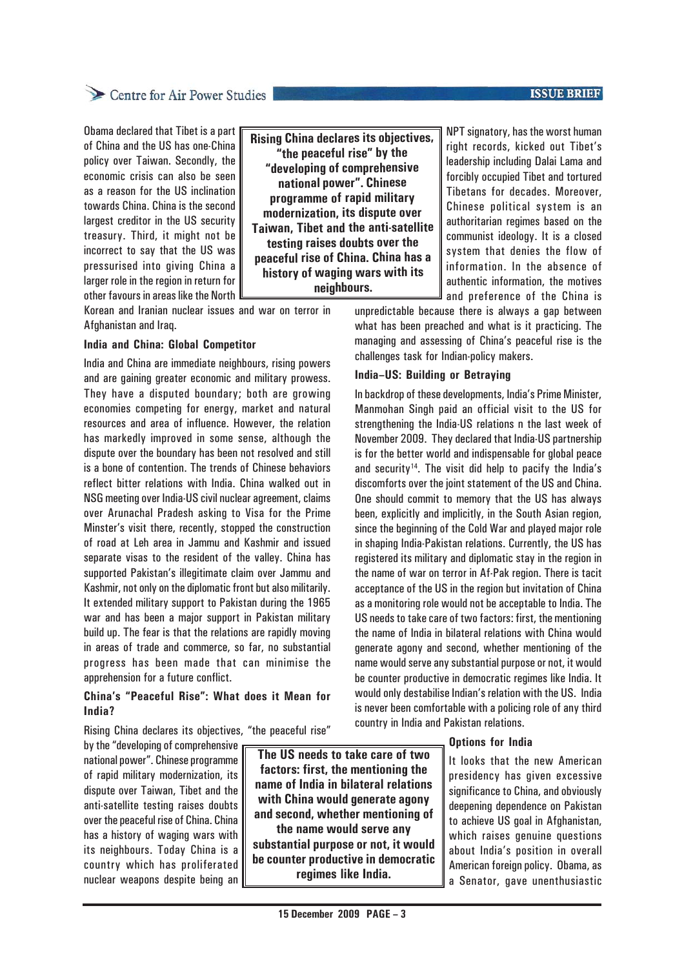# Centre for Air Power Studies

Obama declared that Tibet is a part of China and the US has one-China policy over Taiwan. Secondly, the economic crisis can also be seen as a reason for the US inclination towards China. China is the second largest creditor in the US security treasury. Third, it might not be incorrect to say that the US was

pressurised into giving China a larger role in the region in return for other favours in areas like the North **"the peaceful rise" by the "developing of comprehensive national power". Chinese programme of rapid military modernization, its dispute over Taiwan, Tibet and the anti-satellite testing raises doubts over the peaceful rise of China. China has a history of waging wars with its neighbours.**

**Rising China declares its objectives,**

Korean and Iranian nuclear issues and war on terror in Afghanistan and Iraq.

#### **India and China: Global Competitor**

India and China are immediate neighbours, rising powers and are gaining greater economic and military prowess. They have a disputed boundary; both are growing economies competing for energy, market and natural resources and area of influence. However, the relation has markedly improved in some sense, although the dispute over the boundary has been not resolved and still is a bone of contention. The trends of Chinese behaviors reflect bitter relations with India. China walked out in NSG meeting over India-US civil nuclear agreement, claims over Arunachal Pradesh asking to Visa for the Prime Minster's visit there, recently, stopped the construction of road at Leh area in Jammu and Kashmir and issued separate visas to the resident of the valley. China has supported Pakistan's illegitimate claim over Jammu and Kashmir, not only on the diplomatic front but also militarily. It extended military support to Pakistan during the 1965 war and has been a major support in Pakistan military build up. The fear is that the relations are rapidly moving in areas of trade and commerce, so far, no substantial progress has been made that can minimise the apprehension for a future conflict.

# **China's "Peaceful Rise": What does it Mean for India?**

Rising China declares its objectives, "the peaceful rise"

by the "developing of comprehensive national power". Chinese programme of rapid military modernization, its dispute over Taiwan, Tibet and the anti-satellite testing raises doubts over the peaceful rise of China. China has a history of waging wars with its neighbours. Today China is a country which has proliferated nuclear weapons despite being an

**The US needs to take care of two factors: first, the mentioning the name of India in bilateral relations with China would generate agony and second, whether mentioning of the name would serve any substantial purpose or not, it would be counter productive in democratic regimes like India.**

NPT signatory, has the worst human right records, kicked out Tibet's leadership including Dalai Lama and forcibly occupied Tibet and tortured Tibetans for decades. Moreover, Chinese political system is an authoritarian regimes based on the communist ideology. It is a closed system that denies the flow of information. In the absence of authentic information, the motives and preference of the China is

unpredictable because there is always a gap between what has been preached and what is it practicing. The managing and assessing of China's peaceful rise is the challenges task for Indian-policy makers.

# **India–US: Building or Betraying**

In backdrop of these developments, India's Prime Minister, Manmohan Singh paid an official visit to the US for strengthening the India-US relations n the last week of November 2009. They declared that India-US partnership is for the better world and indispensable for global peace and security<sup>14</sup>. The visit did help to pacify the India's discomforts over the joint statement of the US and China. One should commit to memory that the US has always been, explicitly and implicitly, in the South Asian region, since the beginning of the Cold War and played major role in shaping India-Pakistan relations. Currently, the US has registered its military and diplomatic stay in the region in the name of war on terror in Af-Pak region. There is tacit acceptance of the US in the region but invitation of China as a monitoring role would not be acceptable to India. The US needs to take care of two factors: first, the mentioning the name of India in bilateral relations with China would generate agony and second, whether mentioning of the name would serve any substantial purpose or not, it would be counter productive in democratic regimes like India. It would only destabilise Indian's relation with the US. India is never been comfortable with a policing role of any third country in India and Pakistan relations.

# **Options for India**

It looks that the new American presidency has given excessive significance to China, and obviously deepening dependence on Pakistan to achieve US goal in Afghanistan, which raises genuine questions about India's position in overall American foreign policy. Obama, as a Senator, gave unenthusiastic

# **ISSUE BRIEF**